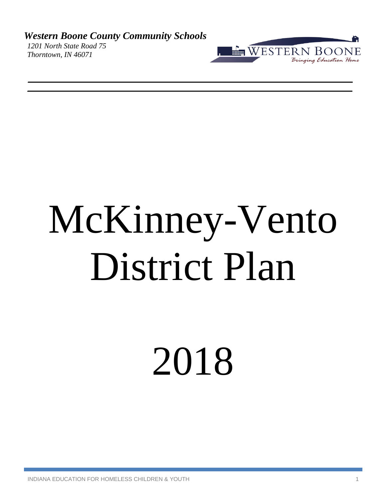*Western Boone County Community Schools 1201 North State Road 75 Thorntown, IN 46071*



# McKinney-Vento District Plan

2018

INDIANA EDUCATION FOR HOMELESS CHILDREN & YOUTH 1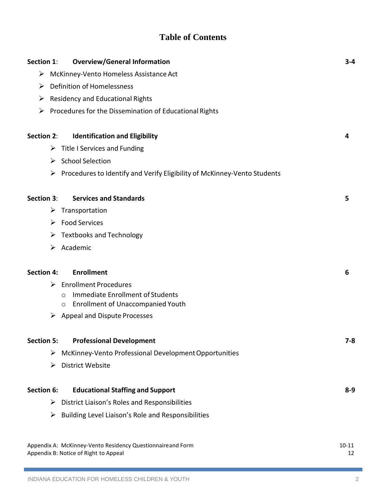# **Table of Contents**

| <b>Overview/General Information</b><br>Section 1:                                                     | $3 - 4$         |  |  |  |
|-------------------------------------------------------------------------------------------------------|-----------------|--|--|--|
| ➤<br>McKinney-Vento Homeless Assistance Act                                                           |                 |  |  |  |
| <b>Definition of Homelessness</b><br>➤                                                                |                 |  |  |  |
| <b>Residency and Educational Rights</b><br>➤                                                          |                 |  |  |  |
| Procedures for the Dissemination of Educational Rights<br>➤                                           |                 |  |  |  |
|                                                                                                       |                 |  |  |  |
| Section 2:<br><b>Identification and Eligibility</b>                                                   | 4               |  |  |  |
| Title I Services and Funding<br>➤                                                                     |                 |  |  |  |
| <b>School Selection</b><br>➤                                                                          |                 |  |  |  |
| Procedures to Identify and Verify Eligibility of McKinney-Vento Students<br>➤                         |                 |  |  |  |
|                                                                                                       |                 |  |  |  |
| <b>Services and Standards</b><br>Section 3:                                                           | 5               |  |  |  |
| Transportation<br>➤                                                                                   |                 |  |  |  |
| <b>Food Services</b><br>➤                                                                             |                 |  |  |  |
| <b>Textbooks and Technology</b><br>➤                                                                  |                 |  |  |  |
| Academic<br>➤                                                                                         |                 |  |  |  |
|                                                                                                       |                 |  |  |  |
| <b>Enrollment</b><br><b>Section 4:</b>                                                                | 6               |  |  |  |
| <b>Enrollment Procedures</b><br>➤                                                                     |                 |  |  |  |
| Immediate Enrollment of Students<br>$\bigcirc$<br><b>Enrollment of Unaccompanied Youth</b><br>$\circ$ |                 |  |  |  |
| <b>Appeal and Dispute Processes</b><br>➤                                                              |                 |  |  |  |
|                                                                                                       |                 |  |  |  |
| <b>Professional Development</b><br><b>Section 5:</b>                                                  | 7-8             |  |  |  |
| McKinney-Vento Professional Development Opportunities<br>➤                                            |                 |  |  |  |
| <b>District Website</b><br>➤                                                                          |                 |  |  |  |
|                                                                                                       |                 |  |  |  |
| Section 6:<br><b>Educational Staffing and Support</b>                                                 | $8 - 9$         |  |  |  |
| District Liaison's Roles and Responsibilities<br>➤                                                    |                 |  |  |  |
| Building Level Liaison's Role and Responsibilities<br>➤                                               |                 |  |  |  |
|                                                                                                       |                 |  |  |  |
| Appendix A: McKinney-Vento Residency Questionnaireand Form<br>Appendix B: Notice of Right to Appeal   | $10 - 11$<br>12 |  |  |  |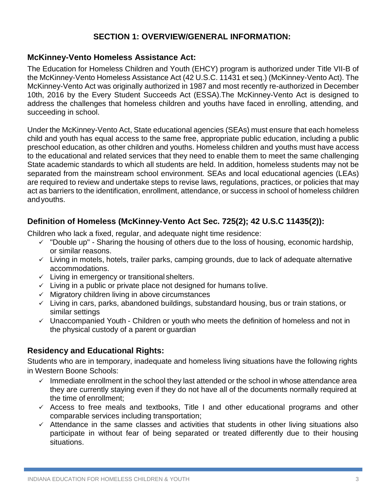# **SECTION 1: OVERVIEW/GENERAL INFORMATION:**

# **McKinney-Vento Homeless Assistance Act:**

The Education for Homeless Children and Youth (EHCY) program is authorized under Title VII-B of the McKinney-Vento Homeless Assistance Act (42 U.S.C. 11431 et seq.) (McKinney-Vento Act). The McKinney-Vento Act was originally authorized in 1987 and most recently re-authorized in December 10th, 2016 by the Every Student Succeeds Act (ESSA).The McKinney-Vento Act is designed to address the challenges that homeless children and youths have faced in enrolling, attending, and succeeding in school.

Under the McKinney-Vento Act, State educational agencies (SEAs) must ensure that each homeless child and youth has equal access to the same free, appropriate public education, including a public preschool education, as other children and youths. Homeless children and youths must have access to the educational and related services that they need to enable them to meet the same challenging State academic standards to which all students are held. In addition, homeless students may not be separated from the mainstream school environment. SEAs and local educational agencies (LEAs) are required to review and undertake steps to revise laws, regulations, practices, or policies that may act as barriers to the identification, enrollment, attendance, or success in school of homeless children andyouths.

# **Definition of Homeless (McKinney-Vento Act Sec. 725(2); 42 U.S.C 11435(2)):**

Children who lack a fixed, regular, and adequate night time residence:

- $\checkmark$  "Double up" Sharing the housing of others due to the loss of housing, economic hardship, or similar reasons.
- ✓ Living in motels, hotels, trailer parks, camping grounds, due to lack of adequate alternative accommodations.
- ✓ Living in emergency or transitional shelters.
- $\checkmark$  Living in a public or private place not designed for humans to live.
- $\checkmark$  Migratory children living in above circumstances
- ✓ Living in cars, parks, abandoned buildings, substandard housing, bus or train stations, or similar settings
- ✓ Unaccompanied Youth Children or youth who meets the definition of homeless and not in the physical custody of a parent or guardian

# **Residency and Educational Rights:**

Students who are in temporary, inadequate and homeless living situations have the following rights in Western Boone Schools:

- $\checkmark$  Immediate enrollment in the school they last attended or the school in whose attendance area they are currently staying even if they do not have all of the documents normally required at the time of enrollment;
- $\checkmark$  Access to free meals and textbooks, Title I and other educational programs and other comparable services including transportation;
- ✓ Attendance in the same classes and activities that students in other living situations also participate in without fear of being separated or treated differently due to their housing situations.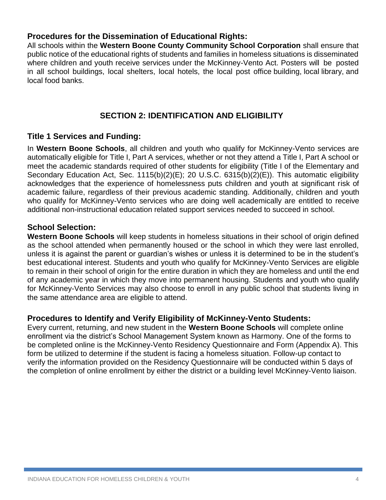# **Procedures for the Dissemination of Educational Rights:**

All schools within the **Western Boone County Community School Corporation** shall ensure that public notice of the educational rights of students and families in homeless situations is disseminated where children and youth receive services under the McKinney-Vento Act. Posters will be posted in all school buildings, local shelters, local hotels, the local post office building, local library, and local food banks.

# **SECTION 2: IDENTIFICATION AND ELIGIBILITY**

# **Title 1 Services and Funding:**

In **Western Boone Schools**, all children and youth who qualify for McKinney-Vento services are automatically eligible for Title I, Part A services, whether or not they attend a Title I, Part A school or meet the academic standards required of other students for eligibility (Title I of the Elementary and Secondary Education Act, Sec. 1115(b)(2)(E); 20 U.S.C. 6315(b)(2)(E)). This automatic eligibility acknowledges that the experience of homelessness puts children and youth at significant risk of academic failure, regardless of their previous academic standing. Additionally, children and youth who qualify for McKinney-Vento services who are doing well academically are entitled to receive additional non-instructional education related support services needed to succeed in school.

### **School Selection:**

**Western Boone Schools** will keep students in homeless situations in their school of origin defined as the school attended when permanently housed or the school in which they were last enrolled, unless it is against the parent or guardian's wishes or unless it is determined to be in the student's best educational interest. Students and youth who qualify for McKinney-Vento Services are eligible to remain in their school of origin for the entire duration in which they are homeless and until the end of any academic year in which they move into permanent housing. Students and youth who qualify for McKinney-Vento Services may also choose to enroll in any public school that students living in the same attendance area are eligible to attend.

# **Procedures to Identify and Verify Eligibility of McKinney-Vento Students:**

Every current, returning, and new student in the **Western Boone Schools** will complete online enrollment via the district's School Management System known as Harmony. One of the forms to be completed online is the McKinney-Vento Residency Questionnaire and Form (Appendix A). This form be utilized to determine if the student is facing a homeless situation. Follow-up contact to verify the information provided on the Residency Questionnaire will be conducted within 5 days of the completion of online enrollment by either the district or a building level McKinney-Vento liaison.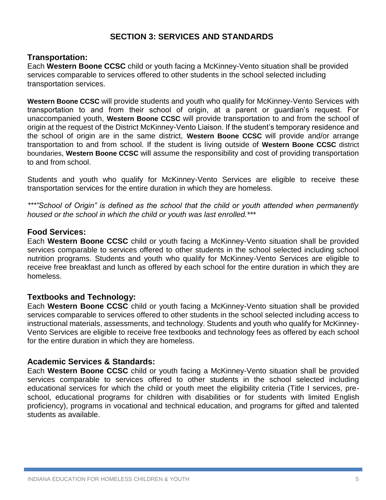# **SECTION 3: SERVICES AND STANDARDS**

### **Transportation:**

Each **Western Boone CCSC** child or youth facing a McKinney-Vento situation shall be provided services comparable to services offered to other students in the school selected including transportation services.

**Western Boone CCSC** will provide students and youth who qualify for McKinney-Vento Services with transportation to and from their school of origin, at a parent or guardian's request. For unaccompanied youth, **Western Boone CCSC** will provide transportation to and from the school of origin at the request of the District McKinney-Vento Liaison. If the student's temporary residence and the school of origin are in the same district, **Western Boone CCSC** will provide and/or arrange transportation to and from school. If the student is living outside of **Western Boone CCSC** district boundaries, **Western Boone CCSC** will assume the responsibility and cost of providing transportation to and from school.

Students and youth who qualify for McKinney-Vento Services are eligible to receive these transportation services for the entire duration in which they are homeless.

*\*\*\*"School of Origin" is defined as the school that the child or youth attended when permanently housed or the school in which the child or youth was last enrolled.\*\*\**

### **Food Services:**

Each **Western Boone CCSC** child or youth facing a McKinney-Vento situation shall be provided services comparable to services offered to other students in the school selected including school nutrition programs. Students and youth who qualify for McKinney-Vento Services are eligible to receive free breakfast and lunch as offered by each school for the entire duration in which they are homeless.

# **Textbooks and Technology:**

Each **Western Boone CCSC** child or youth facing a McKinney-Vento situation shall be provided services comparable to services offered to other students in the school selected including access to instructional materials, assessments, and technology. Students and youth who qualify for McKinney-Vento Services are eligible to receive free textbooks and technology fees as offered by each school for the entire duration in which they are homeless.

### **Academic Services & Standards:**

Each **Western Boone CCSC** child or youth facing a McKinney-Vento situation shall be provided services comparable to services offered to other students in the school selected including educational services for which the child or youth meet the eligibility criteria (Title I services, preschool, educational programs for children with disabilities or for students with limited English proficiency), programs in vocational and technical education, and programs for gifted and talented students as available.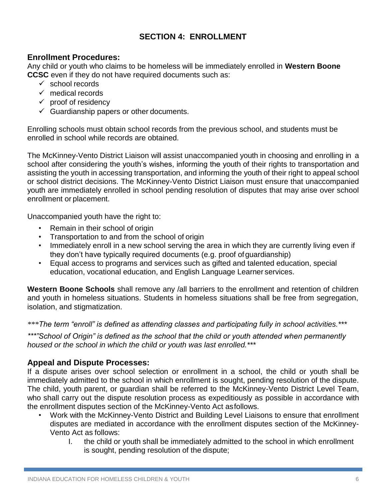# **SECTION 4: ENROLLMENT**

# **Enrollment Procedures:**

Any child or youth who claims to be homeless will be immediately enrolled in **Western Boone CCSC** even if they do not have required documents such as:

- ✓ school records
- $\checkmark$  medical records
- $\checkmark$  proof of residency
- $\checkmark$  Guardianship papers or other documents.

Enrolling schools must obtain school records from the previous school, and students must be enrolled in school while records are obtained.

The McKinney-Vento District Liaison will assist unaccompanied youth in choosing and enrolling in a school after considering the youth's wishes, informing the youth of their rights to transportation and assisting the youth in accessing transportation, and informing the youth of their right to appeal school or school district decisions. The McKinney-Vento District Liaison must ensure that unaccompanied youth are immediately enrolled in school pending resolution of disputes that may arise over school enrollment or placement.

Unaccompanied youth have the right to:

- Remain in their school of origin
- Transportation to and from the school of origin
- Immediately enroll in a new school serving the area in which they are currently living even if they don't have typically required documents (e.g. proof ofguardianship)
- Equal access to programs and services such as gifted and talented education, special education, vocational education, and English Language Learner services.

**Western Boone Schools** shall remove any /all barriers to the enrollment and retention of children and youth in homeless situations. Students in homeless situations shall be free from segregation, isolation, and stigmatization.

*\*\*\*The term "enroll" is defined as attending classes and participating fully in school activities.\*\*\**

*\*\*\*"School of Origin" is defined as the school that the child or youth attended when permanently housed or the school in which the child or youth was last enrolled.\*\*\**

# **Appeal and Dispute Processes:**

If a dispute arises over school selection or enrollment in a school, the child or youth shall be immediately admitted to the school in which enrollment is sought, pending resolution of the dispute. The child, youth parent, or guardian shall be referred to the McKinney-Vento District Level Team, who shall carry out the dispute resolution process as expeditiously as possible in accordance with the enrollment disputes section of the McKinney-Vento Act asfollows.

- Work with the McKinney-Vento District and Building Level Liaisons to ensure that enrollment disputes are mediated in accordance with the enrollment disputes section of the McKinney-Vento Act as follows:
	- I. the child or youth shall be immediately admitted to the school in which enrollment is sought, pending resolution of the dispute;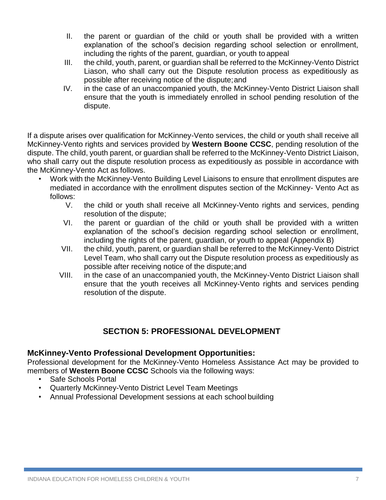- II. the parent or guardian of the child or youth shall be provided with a written explanation of the school's decision regarding school selection or enrollment, including the rights of the parent, guardian, or youth to appeal
- III. the child, youth, parent, or guardian shall be referred to the McKinney-Vento District Liason, who shall carry out the Dispute resolution process as expeditiously as possible after receiving notice of the dispute;and
- IV. in the case of an unaccompanied youth, the McKinney-Vento District Liaison shall ensure that the youth is immediately enrolled in school pending resolution of the dispute.

If a dispute arises over qualification for McKinney-Vento services, the child or youth shall receive all McKinney-Vento rights and services provided by **Western Boone CCSC**, pending resolution of the dispute. The child, youth parent, or guardian shall be referred to the McKinney-Vento District Liaison, who shall carry out the dispute resolution process as expeditiously as possible in accordance with the McKinney-Vento Act as follows.

- Work with the McKinney-Vento Building Level Liaisons to ensure that enrollment disputes are mediated in accordance with the enrollment disputes section of the McKinney- Vento Act as follows:
	- V. the child or youth shall receive all McKinney-Vento rights and services, pending resolution of the dispute;
	- VI. the parent or guardian of the child or youth shall be provided with a written explanation of the school's decision regarding school selection or enrollment, including the rights of the parent, guardian, or youth to appeal (Appendix B)
	- VII. the child, youth, parent, or guardian shall be referred to the McKinney-Vento District Level Team, who shall carry out the Dispute resolution process as expeditiously as possible after receiving notice of the dispute;and
	- VIII. in the case of an unaccompanied youth, the McKinney-Vento District Liaison shall ensure that the youth receives all McKinney-Vento rights and services pending resolution of the dispute.

# **SECTION 5: PROFESSIONAL DEVELOPMENT**

# **McKinney-Vento Professional Development Opportunities:**

Professional development for the McKinney-Vento Homeless Assistance Act may be provided to members of **Western Boone CCSC** Schools via the following ways:

- Safe Schools Portal
- Quarterly McKinney-Vento District Level Team Meetings
- Annual Professional Development sessions at each school building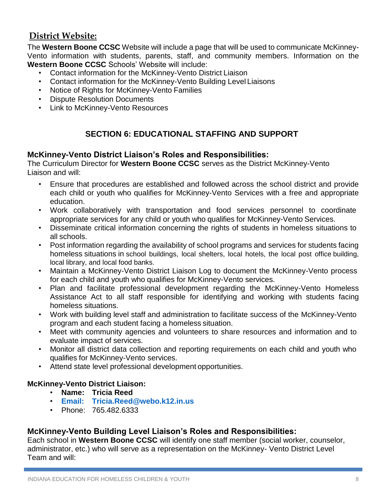# **District Website:**

The **Western Boone CCSC** Website will include a page that will be used to communicate McKinney-Vento information with students, parents, staff, and community members. Information on the **Western Boone CCSC** Schools' Website will include:

- Contact information for the McKinney-Vento District Liaison
- Contact information for the McKinney-Vento Building Level Liaisons
- Notice of Rights for McKinney-Vento Families
- Dispute Resolution Documents
- Link to McKinney-Vento Resources

# **SECTION 6: EDUCATIONAL STAFFING AND SUPPORT**

# **McKinney-Vento District Liaison's Roles and Responsibilities:**

The Curriculum Director for **Western Boone CCSC** serves as the District McKinney-Vento Liaison and will:

- Ensure that procedures are established and followed across the school district and provide each child or youth who qualifies for McKinney-Vento Services with a free and appropriate education.
- Work collaboratively with transportation and food services personnel to coordinate appropriate services for any child or youth who qualifies for McKinney-Vento Services.
- Disseminate critical information concerning the rights of students in homeless situations to all schools.
- Post information regarding the availability of school programs and services for students facing homeless situations in school buildings, local shelters, local hotels, the local post office building, local library, and local food banks.
- Maintain a McKinney-Vento District Liaison Log to document the McKinney-Vento process for each child and youth who qualifies for McKinney-Vento services.
- Plan and facilitate professional development regarding the McKinney-Vento Homeless Assistance Act to all staff responsible for identifying and working with students facing homeless situations.
- Work with building level staff and administration to facilitate success of the McKinney-Vento program and each student facing a homeless situation.
- Meet with community agencies and volunteers to share resources and information and to evaluate impact of services.
- Monitor all district data collection and reporting requirements on each child and youth who qualifies for McKinney-Vento services.
- Attend state level professional development opportunities.

# **McKinney-Vento District Liaison:**

- **Name: Tricia Reed**
- **[Email:](mailto:mstory@bgcs.k12.in.us) Tricia.Reed@webo.k12.in.us**
- Phone: 765.482.6333

# **McKinney-Vento Building Level Liaison's Roles and Responsibilities:**

Each school in **Western Boone CCSC** will identify one staff member (social worker, counselor, administrator, etc.) who will serve as a representation on the McKinney- Vento District Level Team and will: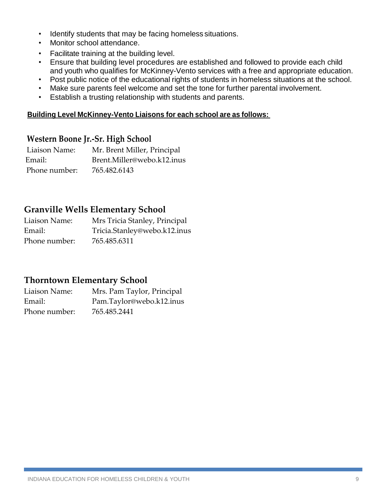- Identify students that may be facing homeless situations.
- Monitor school attendance.
- Facilitate training at the building level.
- Ensure that building level procedures are established and followed to provide each child and youth who qualifies for McKinney-Vento services with a free and appropriate education.
- Post public notice of the educational rights of students in homeless situations at the school.
- Make sure parents feel welcome and set the tone for further parental involvement.
- Establish a trusting relationship with students and parents.

### **Building Level McKinney-Vento Liaisons for each school are as follows:**

# **Western Boone Jr.-Sr. High School**

Liaison Name: Mr. Brent Miller, Principal Email: Brent.Miller@webo.k12.inus Phone number: 765.482.6143

# **Granville Wells Elementary School**

Liaison Name: Mrs Tricia Stanley, Principal Email: Tricia.Stanley@webo.k12.inus Phone number: 765.485.6311

# **Thorntown Elementary School**

Liaison Name: Mrs. Pam Taylor, Principal Email: Pam.Taylor@webo.k12.inus Phone number: 765.485.2441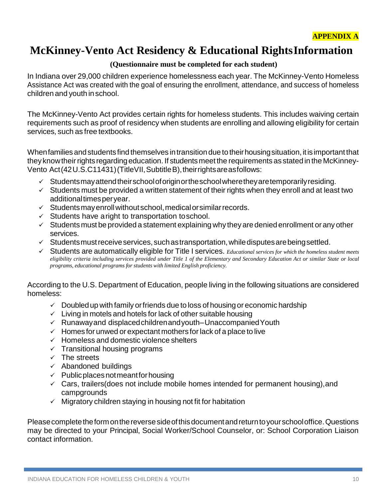# **McKinney-Vento Act Residency & Educational RightsInformation**

# **(Questionnaire must be completed for each student)**

In Indiana over 29,000 children experience homelessness each year. The McKinney-Vento Homeless Assistance Act was created with the goal of ensuring the enrollment, attendance, and success of homeless children and youth inschool.

The McKinney-Vento Act provides certain rights for homeless students. This includes waiving certain requirements such as proof of residency when students are enrolling and allowing eligibility for certain services, such as free textbooks.

When families and students find themselves in transition due to their housing situation, it is important that they know their rights regarding education. If students meet the requirements as stated in the McKinney-Vento Act(42U.S.C11431)(TitleVII, SubtitleB), their rights are as follows:

- $\checkmark$  Studentsmay attend their school of origin or the school where they are temporarily residing.
- $\checkmark$  Students must be provided a written statement of their rights when they enroll and at least two additional times per year.
- $\checkmark$  Students may enroll without school, medical or similar records.
- $\checkmark$  Students have aright to transportation toschool.
- ✓ Students must be provided a statement explaining why they are deniedenrollment orany other services.
- $\checkmark$  Students must receive services, such as transportation, while disputes are being settled.
- ✓ Students are automatically eligible for Title I services. *Educational services for which the homeless student meets eligibility criteria including services provided under Title 1 of the Elementary and Secondary Education Act or similar State or local programs, educational programs for students with limited English proficiency.*

According to the U.S. Department of Education, people living in the following situations are considered homeless:

- $\checkmark$  Doubled up with family or friends due to loss of housing or economic hardship
- $\checkmark$  Living in motels and hotels for lack of other suitable housing
- ✓ Runawayand displacedchildrenandyouth–UnaccompaniedYouth
- $\checkmark$  Homes for unwed or expectant mothers for lack of a place to live
- ✓ Homeless and domestic violence shelters
- $\checkmark$  Transitional housing programs
- $\checkmark$  The streets
- $\times$  Abandoned buildings
- $\checkmark$  Public places not meant for housing
- $\checkmark$  Cars, trailers(does not include mobile homes intended for permanent housing), and campgrounds
- $\checkmark$  Migratory children staying in housing not fit for habitation

Please complete the form on the reverse side of this document and return to your school office. Questions may be directed to your Principal, Social Worker/School Counselor, or: School Corporation Liaison contact information.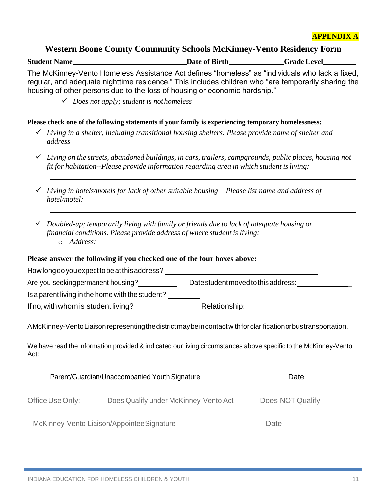### **Western Boone County Community Schools McKinney-Vento Residency Form**

| <b>Student Name</b> | Date of Birth | <b>Grade Level</b> |
|---------------------|---------------|--------------------|
|                     |               |                    |

The McKinney-Vento Homeless Assistance Act defines "homeless" as "individuals who lack a fixed, regular, and adequate nighttime residence." This includes children who "are temporarily sharing the housing of other persons due to the loss of housing or economic hardship."

✓ *Does not apply; student is not homeless*

### **Please check one of the following statements if your family is experiencing temporary homelessness:**

- ✓ *Living in a shelter, including transitional housing shelters. Please provide name of shelter and address*
- ✓ *Living on the streets, abandoned buildings, in cars, trailers, campgrounds, public places, housing not fit for habitation--Please provide information regarding area in which student is living:*
- ✓ *Living in hotels/motels for lack of other suitable housing – Please list name and address of hotel/motel:*
- ✓ *Doubled-up; temporarily living with family or friends due to lack of adequate housing or financial conditions. Please provide address of where student is living:* o *Address:*

### **Please answer the following if you checked one of the four boxes above:**

| How long do you expect to be at this address?    |                                     |  |
|--------------------------------------------------|-------------------------------------|--|
| Are you seekingpermanent housing?                | Date student moved to this address: |  |
| Is a parent living in the home with the student? |                                     |  |
| If no, with whom is student living?              | Relationship:                       |  |

AMcKinney-VentoLiaisonrepresentingthedistrictmaybeincontactwithforclarificationorbustransportation.

We have read the information provided & indicated our living circumstances above specific to the McKinney-Vento Act:

|                  | Parent/Guardian/Unaccompanied Youth Signature | Date             |
|------------------|-----------------------------------------------|------------------|
| Office Use Only: | Does Qualify under McKinney-Vento Act         | Does NOT Qualify |

McKinney-Vento Liaison/AppointeeSignature **Date** Date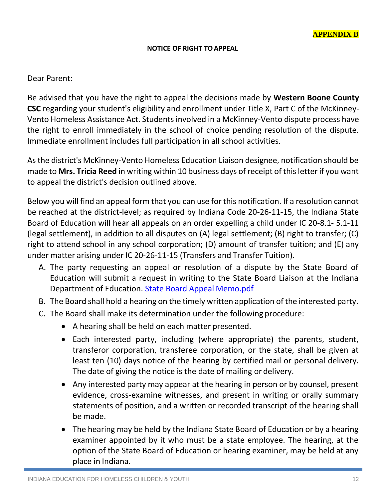### **NOTICE OF RIGHT TOAPPEAL**

### Dear Parent:

Be advised that you have the right to appeal the decisions made by **Western Boone County CSC** regarding your student's eligibility and enrollment under Title X, Part C of the McKinney-Vento Homeless Assistance Act. Students involved in a McKinney-Vento dispute process have the right to enroll immediately in the school of choice pending resolution of the dispute. Immediate enrollment includes full participation in all school activities.

As the district's McKinney-Vento Homeless Education Liaison designee, notification should be made to **Mrs. Tricia Reed** in writing within 10 business days of receipt of this letter if you want to appeal the district's decision outlined above.

Below you will find an appeal form that you can use for this notification. If a resolution cannot be reached at the district-level; as required by Indiana Code 20-26-11-15, the Indiana State Board of Education will hear all appeals on an order expelling a child under IC 20-8.1- 5.1-11 (legal settlement), in addition to all disputes on (A) legal settlement; (B) right to transfer; (C) right to attend school in any school corporation; (D) amount of transfer tuition; and (E) any under matter arising under IC 20-26-11-15 (Transfers and Transfer Tuition).

- A. The party requesting an appeal or resolution of a dispute by the State Board of Education will submit a request in writing to the State Board Liaison at the Indiana Department of Education. State Board Appeal Memo.pdf
- B. The Board shall hold a hearing on the timely written application of the interested party.
- C. The Board shall make its determination under the following procedure:
	- A hearing shall be held on each matter presented.
	- Each interested party, including (where appropriate) the parents, student, transferor corporation, transferee corporation, or the state, shall be given at least ten (10) days notice of the hearing by certified mail or personal delivery. The date of giving the notice is the date of mailing or delivery.
	- Any interested party may appear at the hearing in person or by counsel, present evidence, cross-examine witnesses, and present in writing or orally summary statements of position, and a written or recorded transcript of the hearing shall be made.
	- The hearing may be held by the Indiana State Board of Education or by a hearing examiner appointed by it who must be a state employee. The hearing, at the option of the State Board of Education or hearing examiner, may be held at any place in Indiana.